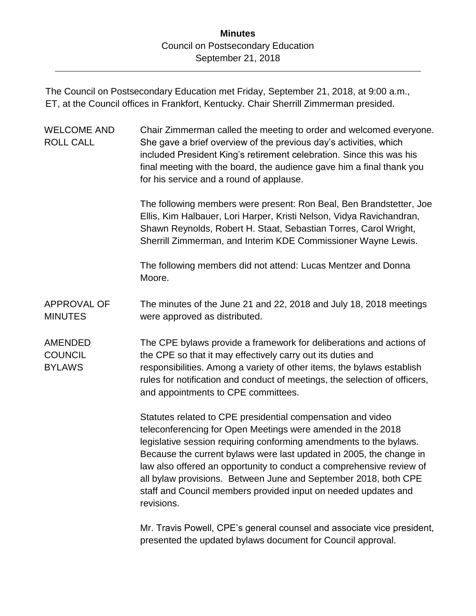## **Minutes** Council on Postsecondary Education September 21, 2018

The Council on Postsecondary Education met Friday, September 21, 2018, at 9:00 a.m., ET, at the Council offices in Frankfort, Kentucky. Chair Sherrill Zimmerman presided.

| <b>WELCOME AND</b><br><b>ROLL CALL</b>            | Chair Zimmerman called the meeting to order and welcomed everyone.<br>She gave a brief overview of the previous day's activities, which<br>included President King's retirement celebration. Since this was his<br>final meeting with the board, the audience gave him a final thank you<br>for his service and a round of applause.                                                                                                                                                               |
|---------------------------------------------------|----------------------------------------------------------------------------------------------------------------------------------------------------------------------------------------------------------------------------------------------------------------------------------------------------------------------------------------------------------------------------------------------------------------------------------------------------------------------------------------------------|
|                                                   | The following members were present: Ron Beal, Ben Brandstetter, Joe<br>Ellis, Kim Halbauer, Lori Harper, Kristi Nelson, Vidya Ravichandran,<br>Shawn Reynolds, Robert H. Staat, Sebastian Torres, Carol Wright,<br>Sherrill Zimmerman, and Interim KDE Commissioner Wayne Lewis.                                                                                                                                                                                                                   |
|                                                   | The following members did not attend: Lucas Mentzer and Donna<br>Moore.                                                                                                                                                                                                                                                                                                                                                                                                                            |
| <b>APPROVAL OF</b><br><b>MINUTES</b>              | The minutes of the June 21 and 22, 2018 and July 18, 2018 meetings<br>were approved as distributed.                                                                                                                                                                                                                                                                                                                                                                                                |
| <b>AMENDED</b><br><b>COUNCIL</b><br><b>BYLAWS</b> | The CPE bylaws provide a framework for deliberations and actions of<br>the CPE so that it may effectively carry out its duties and<br>responsibilities. Among a variety of other items, the bylaws establish<br>rules for notification and conduct of meetings, the selection of officers,<br>and appointments to CPE committees.                                                                                                                                                                  |
|                                                   | Statutes related to CPE presidential compensation and video<br>teleconferencing for Open Meetings were amended in the 2018<br>legislative session requiring conforming amendments to the bylaws.<br>Because the current bylaws were last updated in 2005, the change in<br>law also offered an opportunity to conduct a comprehensive review of<br>all bylaw provisions. Between June and September 2018, both CPE<br>staff and Council members provided input on needed updates and<br>revisions. |
|                                                   | Mr. Travio Dowall CDE's general counsel and associate vice propident                                                                                                                                                                                                                                                                                                                                                                                                                               |

Mr. Travis Powell, CPE's general counsel and associate vice president, presented the updated bylaws document for Council approval.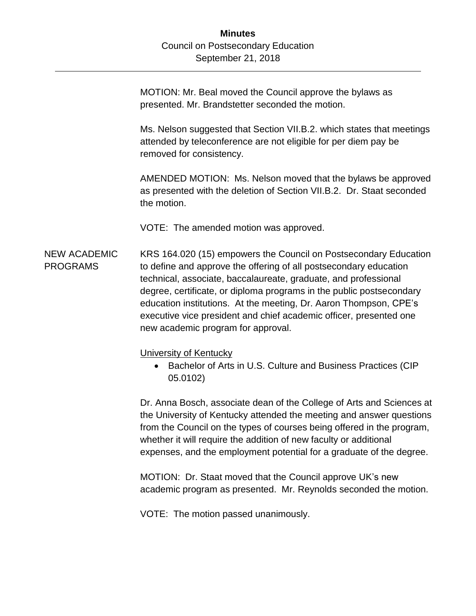MOTION: Mr. Beal moved the Council approve the bylaws as presented. Mr. Brandstetter seconded the motion.

Ms. Nelson suggested that Section VII.B.2. which states that meetings attended by teleconference are not eligible for per diem pay be removed for consistency.

AMENDED MOTION: Ms. Nelson moved that the bylaws be approved as presented with the deletion of Section VII.B.2. Dr. Staat seconded the motion.

VOTE: The amended motion was approved.

NEW ACADEMIC PROGRAMS KRS 164.020 (15) empowers the Council on Postsecondary Education to define and approve the offering of all postsecondary education technical, associate, baccalaureate, graduate, and professional degree, certificate, or diploma programs in the public postsecondary education institutions. At the meeting, Dr. Aaron Thompson, CPE's executive vice president and chief academic officer, presented one new academic program for approval.

University of Kentucky

• Bachelor of Arts in U.S. Culture and Business Practices (CIP 05.0102)

Dr. Anna Bosch, associate dean of the College of Arts and Sciences at the University of Kentucky attended the meeting and answer questions from the Council on the types of courses being offered in the program, whether it will require the addition of new faculty or additional expenses, and the employment potential for a graduate of the degree.

MOTION: Dr. Staat moved that the Council approve UK's new academic program as presented. Mr. Reynolds seconded the motion.

VOTE: The motion passed unanimously.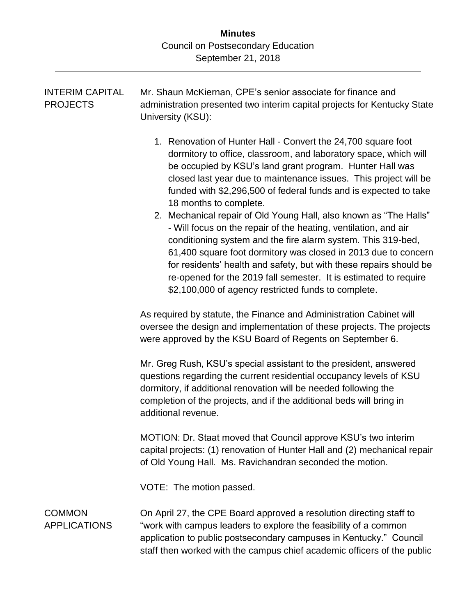| <b>INTERIM CAPITAL</b><br><b>PROJECTS</b> | Mr. Shaun McKiernan, CPE's senior associate for finance and<br>administration presented two interim capital projects for Kentucky State<br>University (KSU):                                                                                                                                                                                                                                                                                                                                                                                                                                                                                                                                                                                                                                                                               |
|-------------------------------------------|--------------------------------------------------------------------------------------------------------------------------------------------------------------------------------------------------------------------------------------------------------------------------------------------------------------------------------------------------------------------------------------------------------------------------------------------------------------------------------------------------------------------------------------------------------------------------------------------------------------------------------------------------------------------------------------------------------------------------------------------------------------------------------------------------------------------------------------------|
|                                           | 1. Renovation of Hunter Hall - Convert the 24,700 square foot<br>dormitory to office, classroom, and laboratory space, which will<br>be occupied by KSU's land grant program. Hunter Hall was<br>closed last year due to maintenance issues. This project will be<br>funded with \$2,296,500 of federal funds and is expected to take<br>18 months to complete.<br>2. Mechanical repair of Old Young Hall, also known as "The Halls"<br>- Will focus on the repair of the heating, ventilation, and air<br>conditioning system and the fire alarm system. This 319-bed,<br>61,400 square foot dormitory was closed in 2013 due to concern<br>for residents' health and safety, but with these repairs should be<br>re-opened for the 2019 fall semester. It is estimated to require<br>\$2,100,000 of agency restricted funds to complete. |
|                                           | As required by statute, the Finance and Administration Cabinet will<br>oversee the design and implementation of these projects. The projects<br>were approved by the KSU Board of Regents on September 6.                                                                                                                                                                                                                                                                                                                                                                                                                                                                                                                                                                                                                                  |
|                                           | Mr. Greg Rush, KSU's special assistant to the president, answered<br>questions regarding the current residential occupancy levels of KSU<br>dormitory, if additional renovation will be needed following the<br>completion of the projects, and if the additional beds will bring in<br>additional revenue.                                                                                                                                                                                                                                                                                                                                                                                                                                                                                                                                |
|                                           | MOTION: Dr. Staat moved that Council approve KSU's two interim<br>capital projects: (1) renovation of Hunter Hall and (2) mechanical repair<br>of Old Young Hall. Ms. Ravichandran seconded the motion.                                                                                                                                                                                                                                                                                                                                                                                                                                                                                                                                                                                                                                    |
|                                           | VOTE: The motion passed.                                                                                                                                                                                                                                                                                                                                                                                                                                                                                                                                                                                                                                                                                                                                                                                                                   |
| <b>COMMON</b><br><b>APPLICATIONS</b>      | On April 27, the CPE Board approved a resolution directing staff to<br>"work with campus leaders to explore the feasibility of a common<br>application to public postsecondary campuses in Kentucky." Council                                                                                                                                                                                                                                                                                                                                                                                                                                                                                                                                                                                                                              |

staff then worked with the campus chief academic officers of the public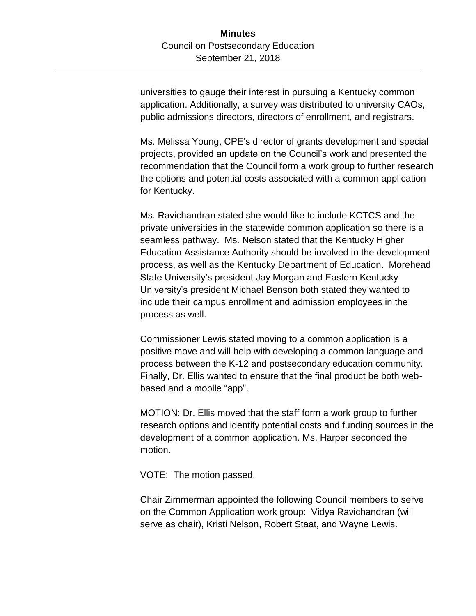universities to gauge their interest in pursuing a Kentucky common application. Additionally, a survey was distributed to university CAOs, public admissions directors, directors of enrollment, and registrars.

Ms. Melissa Young, CPE's director of grants development and special projects, provided an update on the Council's work and presented the recommendation that the Council form a work group to further research the options and potential costs associated with a common application for Kentucky.

Ms. Ravichandran stated she would like to include KCTCS and the private universities in the statewide common application so there is a seamless pathway. Ms. Nelson stated that the Kentucky Higher Education Assistance Authority should be involved in the development process, as well as the Kentucky Department of Education. Morehead State University's president Jay Morgan and Eastern Kentucky University's president Michael Benson both stated they wanted to include their campus enrollment and admission employees in the process as well.

Commissioner Lewis stated moving to a common application is a positive move and will help with developing a common language and process between the K-12 and postsecondary education community. Finally, Dr. Ellis wanted to ensure that the final product be both webbased and a mobile "app".

MOTION: Dr. Ellis moved that the staff form a work group to further research options and identify potential costs and funding sources in the development of a common application. Ms. Harper seconded the motion.

VOTE: The motion passed.

Chair Zimmerman appointed the following Council members to serve on the Common Application work group: Vidya Ravichandran (will serve as chair), Kristi Nelson, Robert Staat, and Wayne Lewis.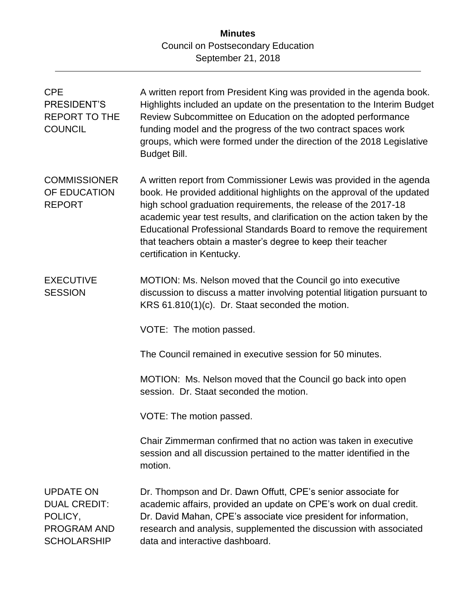## **Minutes** Council on Postsecondary Education September 21, 2018

| <b>CPE</b><br>PRESIDENT'S<br><b>REPORT TO THE</b><br><b>COUNCIL</b>                            | A written report from President King was provided in the agenda book.<br>Highlights included an update on the presentation to the Interim Budget<br>Review Subcommittee on Education on the adopted performance<br>funding model and the progress of the two contract spaces work<br>groups, which were formed under the direction of the 2018 Legislative<br>Budget Bill.                                                                                       |
|------------------------------------------------------------------------------------------------|------------------------------------------------------------------------------------------------------------------------------------------------------------------------------------------------------------------------------------------------------------------------------------------------------------------------------------------------------------------------------------------------------------------------------------------------------------------|
| <b>COMMISSIONER</b><br>OF EDUCATION<br><b>REPORT</b>                                           | A written report from Commissioner Lewis was provided in the agenda<br>book. He provided additional highlights on the approval of the updated<br>high school graduation requirements, the release of the 2017-18<br>academic year test results, and clarification on the action taken by the<br>Educational Professional Standards Board to remove the requirement<br>that teachers obtain a master's degree to keep their teacher<br>certification in Kentucky. |
| <b>EXECUTIVE</b><br><b>SESSION</b>                                                             | MOTION: Ms. Nelson moved that the Council go into executive<br>discussion to discuss a matter involving potential litigation pursuant to<br>KRS 61.810(1)(c). Dr. Staat seconded the motion.                                                                                                                                                                                                                                                                     |
|                                                                                                | VOTE: The motion passed.                                                                                                                                                                                                                                                                                                                                                                                                                                         |
|                                                                                                | The Council remained in executive session for 50 minutes.                                                                                                                                                                                                                                                                                                                                                                                                        |
|                                                                                                | MOTION: Ms. Nelson moved that the Council go back into open<br>session. Dr. Staat seconded the motion.                                                                                                                                                                                                                                                                                                                                                           |
|                                                                                                | VOTE: The motion passed.                                                                                                                                                                                                                                                                                                                                                                                                                                         |
|                                                                                                | Chair Zimmerman confirmed that no action was taken in executive<br>session and all discussion pertained to the matter identified in the<br>motion.                                                                                                                                                                                                                                                                                                               |
| <b>UPDATE ON</b><br><b>DUAL CREDIT:</b><br>POLICY,<br><b>PROGRAM AND</b><br><b>SCHOLARSHIP</b> | Dr. Thompson and Dr. Dawn Offutt, CPE's senior associate for<br>academic affairs, provided an update on CPE's work on dual credit.<br>Dr. David Mahan, CPE's associate vice president for information,<br>research and analysis, supplemented the discussion with associated<br>data and interactive dashboard.                                                                                                                                                  |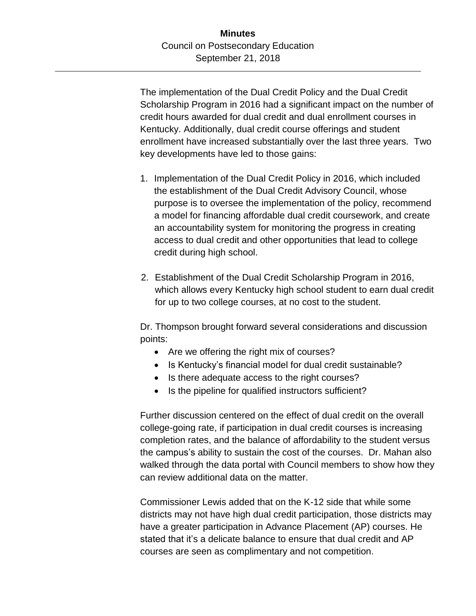The implementation of the Dual Credit Policy and the Dual Credit Scholarship Program in 2016 had a significant impact on the number of credit hours awarded for dual credit and dual enrollment courses in Kentucky. Additionally, dual credit course offerings and student enrollment have increased substantially over the last three years. Two key developments have led to those gains:

- 1. Implementation of the Dual Credit Policy in 2016, which included the establishment of the Dual Credit Advisory Council, whose purpose is to oversee the implementation of the policy, recommend a model for financing affordable dual credit coursework, and create an accountability system for monitoring the progress in creating access to dual credit and other opportunities that lead to college credit during high school.
- 2. Establishment of the Dual Credit Scholarship Program in 2016, which allows every Kentucky high school student to earn dual credit for up to two college courses, at no cost to the student.

Dr. Thompson brought forward several considerations and discussion points:

- Are we offering the right mix of courses?
- Is Kentucky's financial model for dual credit sustainable?
- Is there adequate access to the right courses?
- Is the pipeline for qualified instructors sufficient?

Further discussion centered on the effect of dual credit on the overall college-going rate, if participation in dual credit courses is increasing completion rates, and the balance of affordability to the student versus the campus's ability to sustain the cost of the courses. Dr. Mahan also walked through the data portal with Council members to show how they can review additional data on the matter.

Commissioner Lewis added that on the K-12 side that while some districts may not have high dual credit participation, those districts may have a greater participation in Advance Placement (AP) courses. He stated that it's a delicate balance to ensure that dual credit and AP courses are seen as complimentary and not competition.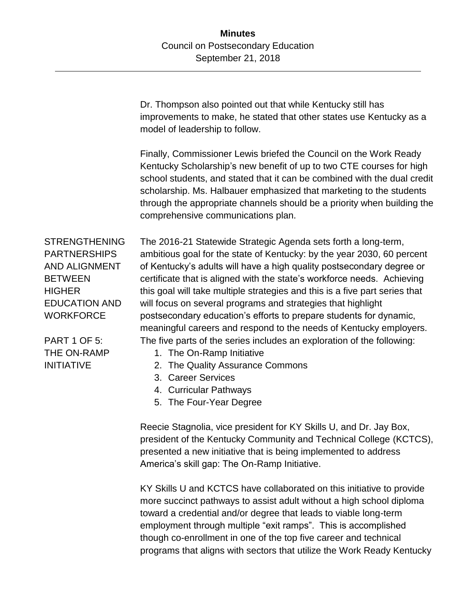Dr. Thompson also pointed out that while Kentucky still has improvements to make, he stated that other states use Kentucky as a model of leadership to follow.

Finally, Commissioner Lewis briefed the Council on the Work Ready Kentucky Scholarship's new benefit of up to two CTE courses for high school students, and stated that it can be combined with the dual credit scholarship. Ms. Halbauer emphasized that marketing to the students through the appropriate channels should be a priority when building the comprehensive communications plan.

STRENGTHENING **PARTNERSHIPS** AND ALIGNMENT **BETWEEN HIGHER** EDUCATION AND **WORKFORCE** 

PART 1 OF 5: THE ON-RAMP INITIATIVE

The 2016-21 Statewide Strategic Agenda sets forth a long-term, ambitious goal for the state of Kentucky: by the year 2030, 60 percent of Kentucky's adults will have a high quality postsecondary degree or certificate that is aligned with the state's workforce needs. Achieving this goal will take multiple strategies and this is a five part series that will focus on several programs and strategies that highlight postsecondary education's efforts to prepare students for dynamic, meaningful careers and respond to the needs of Kentucky employers. The five parts of the series includes an exploration of the following:

- 1. The On-Ramp Initiative
- 2. The Quality Assurance Commons
- 3. Career Services
- 4. Curricular Pathways
- 5. The Four-Year Degree

Reecie Stagnolia, vice president for KY Skills U, and Dr. Jay Box, president of the Kentucky Community and Technical College (KCTCS), presented a new initiative that is being implemented to address America's skill gap: The On-Ramp Initiative.

KY Skills U and KCTCS have collaborated on this initiative to provide more succinct pathways to assist adult without a high school diploma toward a credential and/or degree that leads to viable long-term employment through multiple "exit ramps". This is accomplished though co-enrollment in one of the top five career and technical programs that aligns with sectors that utilize the Work Ready Kentucky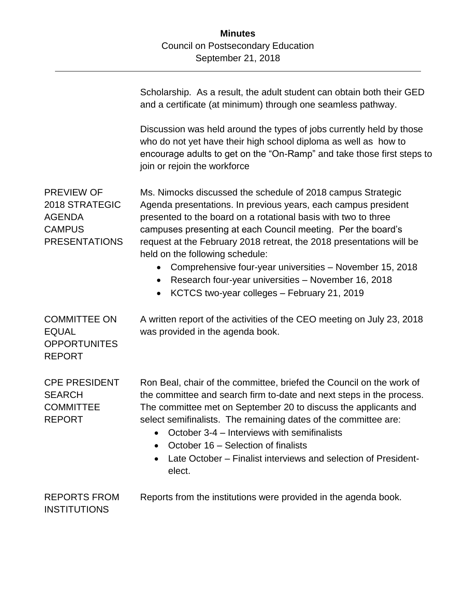|                                                                                        | Scholarship. As a result, the adult student can obtain both their GED<br>and a certificate (at minimum) through one seamless pathway.                                                                                                                                                                                                                                                                                                                                                                                                                                               |
|----------------------------------------------------------------------------------------|-------------------------------------------------------------------------------------------------------------------------------------------------------------------------------------------------------------------------------------------------------------------------------------------------------------------------------------------------------------------------------------------------------------------------------------------------------------------------------------------------------------------------------------------------------------------------------------|
|                                                                                        | Discussion was held around the types of jobs currently held by those<br>who do not yet have their high school diploma as well as how to<br>encourage adults to get on the "On-Ramp" and take those first steps to<br>join or rejoin the workforce                                                                                                                                                                                                                                                                                                                                   |
| PREVIEW OF<br>2018 STRATEGIC<br><b>AGENDA</b><br><b>CAMPUS</b><br><b>PRESENTATIONS</b> | Ms. Nimocks discussed the schedule of 2018 campus Strategic<br>Agenda presentations. In previous years, each campus president<br>presented to the board on a rotational basis with two to three<br>campuses presenting at each Council meeting. Per the board's<br>request at the February 2018 retreat, the 2018 presentations will be<br>held on the following schedule:<br>Comprehensive four-year universities - November 15, 2018<br>$\bullet$<br>Research four-year universities - November 16, 2018<br>$\bullet$<br>KCTCS two-year colleges - February 21, 2019<br>$\bullet$ |
| <b>COMMITTEE ON</b><br><b>EQUAL</b><br><b>OPPORTUNITES</b><br><b>REPORT</b>            | A written report of the activities of the CEO meeting on July 23, 2018<br>was provided in the agenda book.                                                                                                                                                                                                                                                                                                                                                                                                                                                                          |
| <b>CPE PRESIDENT</b><br><b>SEARCH</b><br><b>COMMITTEE</b><br><b>REPORT</b>             | Ron Beal, chair of the committee, briefed the Council on the work of<br>the committee and search firm to-date and next steps in the process.<br>The committee met on September 20 to discuss the applicants and<br>select semifinalists. The remaining dates of the committee are:<br>October 3-4 – Interviews with semifinalists<br>October 16 – Selection of finalists<br>Late October – Finalist interviews and selection of President-<br>$\bullet$<br>elect.                                                                                                                   |
| <b>REPORTS FROM</b>                                                                    | Reports from the institutions were provided in the agenda book.                                                                                                                                                                                                                                                                                                                                                                                                                                                                                                                     |

INSTITUTIONS

Reports from the institutions were provided in the agenda book.